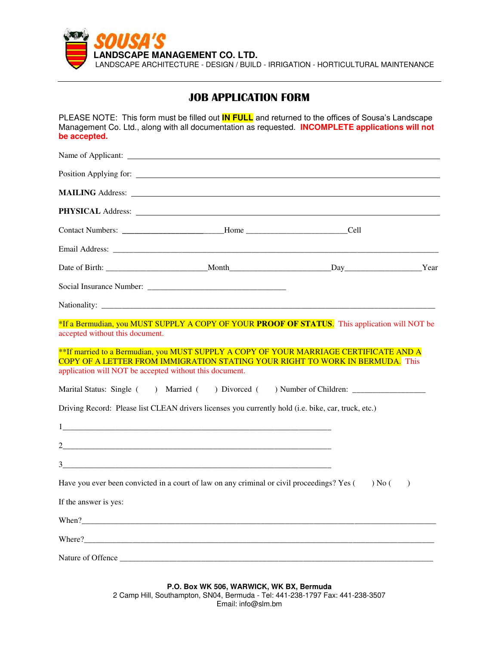

# **JOB APPLICATION FORM**

PLEASE NOTE: This form must be filled out **IN FULL** and returned to the offices of Sousa's Landscape Management Co. Ltd., along with all documentation as requested. **INCOMPLETE applications will not be accepted.** 

|                                                         | <b>MAILING Address:</b> Lease Contains a series of the series of the series of the series of the series of the series of the series of the series of the series of the series of the series of the series of the series of the seri                                                                                                  |           |
|---------------------------------------------------------|--------------------------------------------------------------------------------------------------------------------------------------------------------------------------------------------------------------------------------------------------------------------------------------------------------------------------------------|-----------|
|                                                         |                                                                                                                                                                                                                                                                                                                                      |           |
|                                                         | Contact Numbers: ___________________________Home ___________________________Cell                                                                                                                                                                                                                                                     |           |
|                                                         |                                                                                                                                                                                                                                                                                                                                      |           |
|                                                         |                                                                                                                                                                                                                                                                                                                                      |           |
|                                                         |                                                                                                                                                                                                                                                                                                                                      |           |
|                                                         |                                                                                                                                                                                                                                                                                                                                      |           |
| accepted without this document.                         | *If a Bermudian, you MUST SUPPLY A COPY OF YOUR PROOF OF STATUS. This application will NOT be                                                                                                                                                                                                                                        |           |
| application will NOT be accepted without this document. | **If married to a Bermudian, you MUST SUPPLY A COPY OF YOUR MARRIAGE CERTIFICATE AND A<br>COPY OF A LETTER FROM IMMIGRATION STATING YOUR RIGHT TO WORK IN BERMUDA. This                                                                                                                                                              |           |
|                                                         | Marital Status: Single () Married () Divorced () Number of Children: ____________                                                                                                                                                                                                                                                    |           |
|                                                         | Driving Record: Please list CLEAN drivers licenses you currently hold (i.e. bike, car, truck, etc.)                                                                                                                                                                                                                                  |           |
|                                                         |                                                                                                                                                                                                                                                                                                                                      |           |
|                                                         | $2$ and $\overline{2}$ and $\overline{2}$ and $\overline{2}$ and $\overline{2}$ and $\overline{2}$ and $\overline{2}$ and $\overline{2}$ and $\overline{2}$ and $\overline{2}$ and $\overline{2}$ and $\overline{2}$ and $\overline{2}$ and $\overline{2}$ and $\overline{2}$ and $\overline{2}$ and $\overline{2}$ and $\overline{$ |           |
|                                                         |                                                                                                                                                                                                                                                                                                                                      |           |
|                                                         | Have you ever been convicted in a court of law on any criminal or civil proceedings? Yes $($ ) No $($                                                                                                                                                                                                                                | $\lambda$ |
| If the answer is yes:                                   |                                                                                                                                                                                                                                                                                                                                      |           |
|                                                         | When?                                                                                                                                                                                                                                                                                                                                |           |
|                                                         |                                                                                                                                                                                                                                                                                                                                      |           |
|                                                         |                                                                                                                                                                                                                                                                                                                                      |           |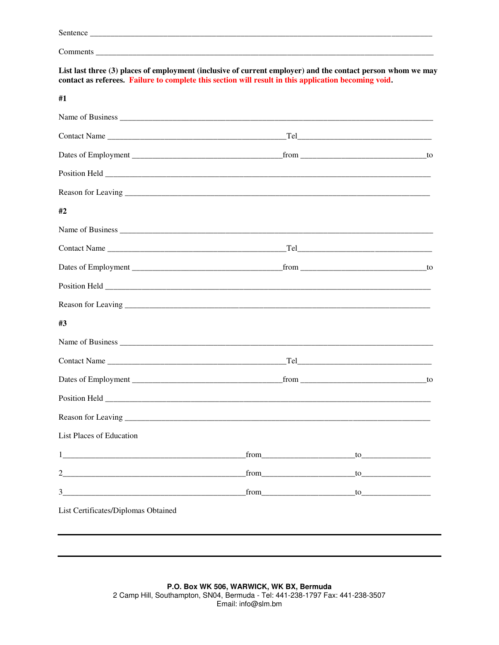| List last three (3) places of employment (inclusive of current employer) and the contact person whom we may<br>contact as referees. Failure to complete this section will result in this application becoming void. |      |                                                                                                               |  |
|---------------------------------------------------------------------------------------------------------------------------------------------------------------------------------------------------------------------|------|---------------------------------------------------------------------------------------------------------------|--|
| #1                                                                                                                                                                                                                  |      |                                                                                                               |  |
|                                                                                                                                                                                                                     |      |                                                                                                               |  |
|                                                                                                                                                                                                                     |      |                                                                                                               |  |
|                                                                                                                                                                                                                     |      |                                                                                                               |  |
|                                                                                                                                                                                                                     |      |                                                                                                               |  |
|                                                                                                                                                                                                                     |      |                                                                                                               |  |
| #2                                                                                                                                                                                                                  |      |                                                                                                               |  |
|                                                                                                                                                                                                                     |      |                                                                                                               |  |
|                                                                                                                                                                                                                     |      |                                                                                                               |  |
|                                                                                                                                                                                                                     |      |                                                                                                               |  |
|                                                                                                                                                                                                                     |      |                                                                                                               |  |
| Reason for Leaving <u>examples and the contract of the contract of the contract of the contract of the contract of</u>                                                                                              |      |                                                                                                               |  |
| #3                                                                                                                                                                                                                  |      |                                                                                                               |  |
|                                                                                                                                                                                                                     |      |                                                                                                               |  |
|                                                                                                                                                                                                                     |      | $\begin{tabular}{c} \bf [Fe] \end{tabular}$                                                                   |  |
|                                                                                                                                                                                                                     |      |                                                                                                               |  |
|                                                                                                                                                                                                                     |      |                                                                                                               |  |
|                                                                                                                                                                                                                     |      |                                                                                                               |  |
| List Places of Education                                                                                                                                                                                            |      |                                                                                                               |  |
|                                                                                                                                                                                                                     | from | $\qquad \qquad \text{to}$                                                                                     |  |
|                                                                                                                                                                                                                     | from |                                                                                                               |  |
|                                                                                                                                                                                                                     |      | $from \underline{\hspace{1cm}} to \underline{\hspace{1cm}} \underline{\hspace{1cm}} \underline{\hspace{1cm}}$ |  |